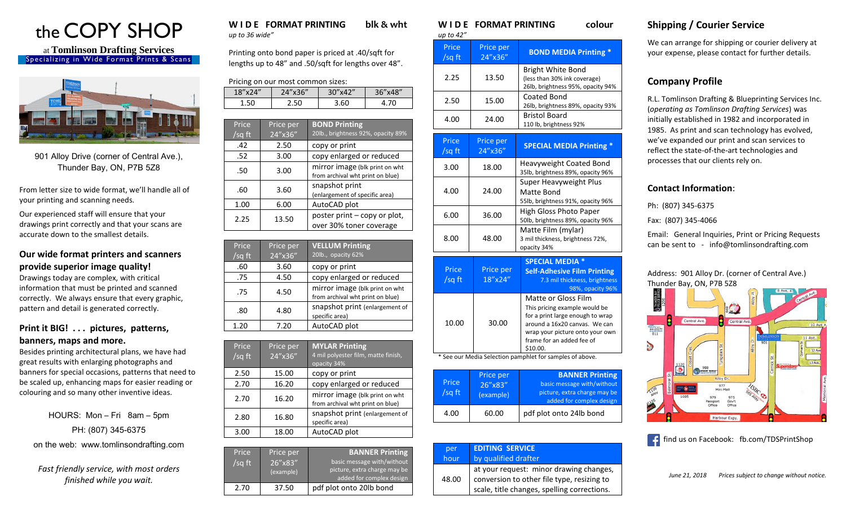

at **Tomlinson Drafting Services** Specializing in Wide Format Prints & Scans



901 Alloy Drive (corner of Central Ave.), Thunder Bay, ON, P7B 5Z8

From letter size to wide format, we'll handle all of your printing and scanning needs.

Our experienced staff will ensure that your drawings print correctly and that your scans are accurate down to the smallest details.

#### **Our wide format printers and scanners provide superior image quality!**

Drawings today are complex, with critical information that must be printed and scanned correctly. We always ensure that every graphic, pattern and detail is generated correctly.

### **Print it BIG! . . . pictures, patterns, banners, maps and more.**

Besides printing architectural plans, we have had great results with enlarging photographs and banners for special occasions, patterns that need to be scaled up, enhancing maps for easier reading or colouring and so many other inventive ideas.

HOURS: Mon – Fri 8am – 5pm PH: (807) 345-6375 on the web: www.tomlinsondrafting.com

*Fast friendly service, with most orders finished while you wait.*

#### **W I D E FORMAT PRINTING blk & wht**  *up to 36 wide"*

Printing onto bond paper is priced at .40/sqft for lengths up to 48" and .50/sqft for lengths over 48".

|  |  |  | Pricing on our most common sizes: |  |
|--|--|--|-----------------------------------|--|
|--|--|--|-----------------------------------|--|

| 18"x24" | 24"x36" | 30"x42" | 36''x48'' |
|---------|---------|---------|-----------|
| 1.50    | 50      | 60      | 70        |

| Price<br>/sq ft | Price per<br>$24''$ x $36''$ | <b>BOND Printing</b><br>20lb., brightness 92%, opacity 89%         |
|-----------------|------------------------------|--------------------------------------------------------------------|
| .42             | 2.50                         | copy or print                                                      |
| .52             | 3.00                         | copy enlarged or reduced                                           |
| .50             | 3.00                         | mirror image (blk print on wht<br>from archival wht print on blue) |
| .60             | 3.60                         | snapshot print<br>(enlargement of specific area)                   |
| 1.00            | 6.00                         | AutoCAD plot                                                       |
| 2.25            | 13.50                        | poster print – copy or plot,<br>over 30% toner coverage            |

| Price<br>$\sqrt{sq}$ ft | Price per<br>24"x36" | <b>VELLUM Printing</b><br>20lb., opacity 62%                       |
|-------------------------|----------------------|--------------------------------------------------------------------|
| .60                     | 3.60                 | copy or print                                                      |
| .75                     | 4.50                 | copy enlarged or reduced                                           |
| .75                     | 4.50                 | mirror image (blk print on wht<br>from archival wht print on blue) |
| .80                     | 4.80                 | snapshot print (enlargement of<br>specific area)                   |
| 1.20                    | 7.20                 | AutoCAD plot                                                       |

| Price<br>$\sqrt{sqft}$ | Price per<br>24"x36" | <b>MYLAR Printing</b><br>4 mil polyester film, matte finish,<br>opacity 34% |
|------------------------|----------------------|-----------------------------------------------------------------------------|
| 2.50                   | 15.00                | copy or print                                                               |
| 2.70                   | 16.20                | copy enlarged or reduced                                                    |
| 2.70                   | 16.20                | mirror image (blk print on wht<br>from archival wht print on blue)          |
| 2.80                   | 16.80                | snapshot print (enlargement of<br>specific area)                            |
| 3.00                   | 18.00                | AutoCAD plot                                                                |

| Price<br>/sg ft | Price per<br>26"x83"<br>(example) | <b>BANNER Printing</b><br>basic message with/without<br>picture, extra charge may be<br>added for complex design |
|-----------------|-----------------------------------|------------------------------------------------------------------------------------------------------------------|
| 2.70            | 37.50                             | pdf plot onto 20lb bond                                                                                          |

# **W I D E FORMAT PRINTING colour**

| up to 42"       |                                   |                                                                                                                                                                                                              |
|-----------------|-----------------------------------|--------------------------------------------------------------------------------------------------------------------------------------------------------------------------------------------------------------|
| Price<br>/sg ft | Price per<br>24"x36"              | <b>BOND MEDIA Printing *</b>                                                                                                                                                                                 |
| 2.25            | 13.50                             | <b>Bright White Bond</b><br>(less than 30% ink coverage)<br>26lb, brightness 95%, opacity 94%                                                                                                                |
| 2.50            | 15.00                             | Coated Bond<br>26lb, brightness 89%, opacity 93%                                                                                                                                                             |
| 4.00            | 24.00                             | <b>Bristol Board</b><br>110 lb, brightness 92%                                                                                                                                                               |
| Price<br>/sq ft | Price per<br>24"x36"              | <b>SPECIAL MEDIA Printing *</b>                                                                                                                                                                              |
| 3.00            | 18.00                             | Heavyweight Coated Bond<br>35lb, brightness 89%, opacity 96%                                                                                                                                                 |
| 4.00            | 24.00                             | Super Heavyweight Plus<br>Matte Bond<br>55lb, brightness 91%, opacity 96%                                                                                                                                    |
| 6.00            | 36.00                             | <b>High Gloss Photo Paper</b><br>50lb, brightness 89%, opacity 96%                                                                                                                                           |
| 8.00            | 48.00                             | Matte Film (mylar)<br>3 mil thickness, brightness 72%,<br>opacity 34%                                                                                                                                        |
| Price<br>/sq ft | Price per<br>18"x24"              | <b>SPECIAL MEDIA *</b><br><b>Self-Adhesive Film Printing</b><br>7.3 mil thickness, brightness<br>98%, opacity 96%                                                                                            |
| 10.00           | 30.00                             | <b>Matte or Gloss Film</b><br>This pricing example would be<br>for a print large enough to wrap<br>around a 16x20 canvas. We can<br>wrap your picture onto your own<br>frame for an added fee of<br>\$10.00. |
|                 |                                   | * See our Media Selection pamphlet for samples of above.                                                                                                                                                     |
| Price<br>/sq ft | Price per<br>26"x83"<br>(example) | <b>BANNER Printing</b><br>basic message with/without<br>picture, extra charge may be                                                                                                                         |

4.00 60.00 pdf plot onto 24lb bond

at your request: minor drawing changes, conversion to other file type, resizing to scale, title changes, spelling corrections.

**EDITING SERVICE**  by qualified drafter

per hour

48.00

added for complex design

## **Shipping / Courier Service**

We can arrange for shipping or courier delivery at your expense, please contact for further details.

### **Company Profile**

R.L. Tomlinson Drafting & Blueprinting Services Inc. (*operating as Tomlinson Drafting Services*) was initially established in 1982 and incorporated in 1985. As print and scan technology has evolved, we've expanded our print and scan services to reflect the state-of-the-art technologies and processes that our clients rely on.

### **Contact Information**:

Ph: (807) 345-6375

Fax: (807) 345-4066

Email: General Inquiries, Print or Pricing Requests can be sent to - info@tomlinsondrafting.com

#### Address: 901 Alloy Dr. (corner of Central Ave.) Thunder Bay, ON, P7B 5Z8



find us on Facebook: fb.com/TDSPrintShop

*June 21, 2018 Prices subject to change without notice.*